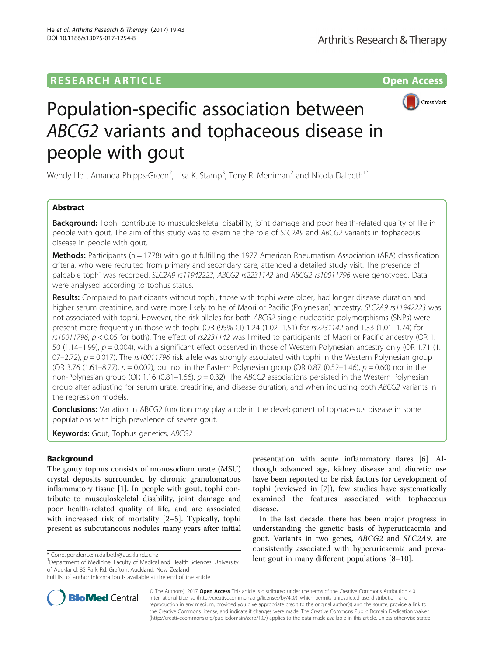# **RESEARCH ARTICLE Example 2014 12:30 The Contract of Contract ACCESS**



# Population-specific association between ABCG2 variants and tophaceous disease in people with gout

Wendy He<sup>1</sup>, Amanda Phipps-Green<sup>2</sup>, Lisa K. Stamp<sup>3</sup>, Tony R. Merriman<sup>2</sup> and Nicola Dalbeth<sup>1\*</sup>

# Abstract

**Background:** Tophi contribute to musculoskeletal disability, joint damage and poor health-related quality of life in people with gout. The aim of this study was to examine the role of SLC2A9 and ABCG2 variants in tophaceous disease in people with gout.

Methods: Participants (n = 1778) with gout fulfilling the 1977 American Rheumatism Association (ARA) classification criteria, who were recruited from primary and secondary care, attended a detailed study visit. The presence of palpable tophi was recorded. SLC2A9 rs11942223, ABCG2 rs2231142 and ABCG2 rs10011796 were genotyped. Data were analysed according to tophus status.

Results: Compared to participants without tophi, those with tophi were older, had longer disease duration and higher serum creatinine, and were more likely to be of Māori or Pacific (Polynesian) ancestry. SLC2A9 rs11942223 was not associated with tophi. However, the risk alleles for both ABCG2 single nucleotide polymorphisms (SNPs) were present more frequently in those with tophi (OR (95% CI) 1.24 (1.02–1.51) for rs2231142 and 1.33 (1.01–1.74) for rs10011796,  $p < 0.05$  for both). The effect of rs2231142 was limited to participants of Māori or Pacific ancestry (OR 1. 50 (1.14–1.99),  $p = 0.004$ ), with a significant effect observed in those of Western Polynesian ancestry only (OR 1.71 (1.  $07-2.72$ ),  $p = 0.017$ ). The rs10011796 risk allele was strongly associated with tophi in the Western Polynesian group (OR 3.76 (1.61–8.77),  $p = 0.002$ ), but not in the Eastern Polynesian group (OR 0.87 (0.52–1.46),  $p = 0.60$ ) nor in the non-Polynesian group (OR 1.16 (0.81–1.66),  $p = 0.32$ ). The ABCG2 associations persisted in the Western Polynesian group after adjusting for serum urate, creatinine, and disease duration, and when including both ABCG2 variants in the regression models.

**Conclusions:** Variation in ABCG2 function may play a role in the development of tophaceous disease in some populations with high prevalence of severe gout.

Keywords: Gout, Tophus genetics, ABCG2

# Background

The gouty tophus consists of monosodium urate (MSU) crystal deposits surrounded by chronic granulomatous inflammatory tissue [[1\]](#page-5-0). In people with gout, tophi contribute to musculoskeletal disability, joint damage and poor health-related quality of life, and are associated with increased risk of mortality [[2](#page-5-0)–[5](#page-5-0)]. Typically, tophi present as subcutaneous nodules many years after initial

<sup>1</sup>Department of Medicine, Faculty of Medical and Health Sciences, University of Auckland, 85 Park Rd, Grafton, Auckland, New Zealand



In the last decade, there has been major progress in understanding the genetic basis of hyperuricaemia and gout. Variants in two genes, ABCG2 and SLC2A9, are consistently associated with hyperuricaemia and preva\* Correspondence: [n.dalbeth@auckland.ac.nz](mailto:n.dalbeth@auckland.ac.nz)<br><sup>1</sup>Department of Medicine, Faculty of Medical and Health Sciences, University. **1ent gout in many different populations** [\[8](#page-5-0)–[10\]](#page-5-0).



© The Author(s). 2017 **Open Access** This article is distributed under the terms of the Creative Commons Attribution 4.0 International License [\(http://creativecommons.org/licenses/by/4.0/](http://creativecommons.org/licenses/by/4.0/)), which permits unrestricted use, distribution, and reproduction in any medium, provided you give appropriate credit to the original author(s) and the source, provide a link to the Creative Commons license, and indicate if changes were made. The Creative Commons Public Domain Dedication waiver [\(http://creativecommons.org/publicdomain/zero/1.0/](http://creativecommons.org/publicdomain/zero/1.0/)) applies to the data made available in this article, unless otherwise stated.

Full list of author information is available at the end of the article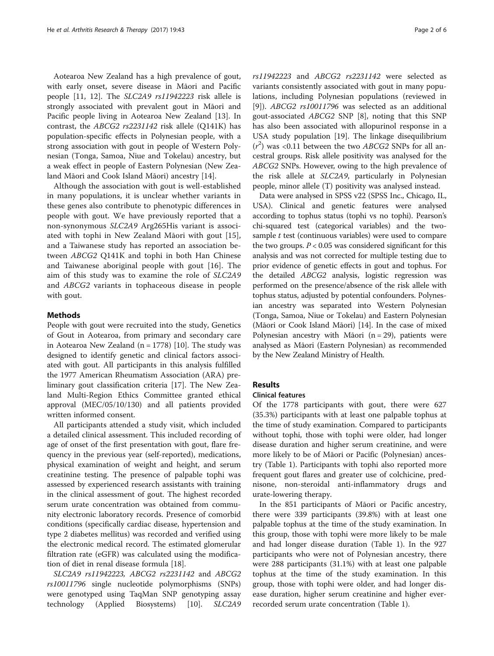Aotearoa New Zealand has a high prevalence of gout, with early onset, severe disease in Māori and Pacific people [[11](#page-5-0), [12](#page-5-0)]. The SLC2A9 rs11942223 risk allele is strongly associated with prevalent gout in Māori and Pacific people living in Aotearoa New Zealand [\[13](#page-5-0)]. In contrast, the ABCG2 rs2231142 risk allele (Q141K) has population-specific effects in Polynesian people, with a strong association with gout in people of Western Polynesian (Tonga, Samoa, Niue and Tokelau) ancestry, but a weak effect in people of Eastern Polynesian (New Zealand Māori and Cook Island Māori) ancestry [[14\]](#page-5-0).

Although the association with gout is well-established in many populations, it is unclear whether variants in these genes also contribute to phenotypic differences in people with gout. We have previously reported that a non-synonymous SLC2A9 Arg265His variant is associated with tophi in New Zealand Māori with gout [\[15](#page-5-0)], and a Taiwanese study has reported an association between ABCG2 Q141K and tophi in both Han Chinese and Taiwanese aboriginal people with gout [[16\]](#page-5-0). The aim of this study was to examine the role of SLC2A9 and ABCG2 variants in tophaceous disease in people with gout.

## Methods

People with gout were recruited into the study, Genetics of Gout in Aotearoa, from primary and secondary care in Aotearoa New Zealand (n = 1778) [[10\]](#page-5-0). The study was designed to identify genetic and clinical factors associated with gout. All participants in this analysis fulfilled the 1977 American Rheumatism Association (ARA) preliminary gout classification criteria [\[17](#page-5-0)]. The New Zealand Multi-Region Ethics Committee granted ethical approval (MEC/05/10/130) and all patients provided written informed consent.

All participants attended a study visit, which included a detailed clinical assessment. This included recording of age of onset of the first presentation with gout, flare frequency in the previous year (self-reported), medications, physical examination of weight and height, and serum creatinine testing. The presence of palpable tophi was assessed by experienced research assistants with training in the clinical assessment of gout. The highest recorded serum urate concentration was obtained from community electronic laboratory records. Presence of comorbid conditions (specifically cardiac disease, hypertension and type 2 diabetes mellitus) was recorded and verified using the electronic medical record. The estimated glomerular filtration rate (eGFR) was calculated using the modification of diet in renal disease formula [\[18\]](#page-5-0).

SLC2A9 rs11942223, ABCG2 rs2231142 and ABCG2 rs10011796 single nucleotide polymorphisms (SNPs) were genotyped using TaqMan SNP genotyping assay technology (Applied Biosystems) [[10\]](#page-5-0). SLC2A9 rs11942223 and ABCG2 rs2231142 were selected as variants consistently associated with gout in many populations, including Polynesian populations (reviewed in [[9\]](#page-5-0)). ABCG2 rs10011796 was selected as an additional gout-associated ABCG2 SNP [\[8](#page-5-0)], noting that this SNP has also been associated with allopurinol response in a USA study population [\[19](#page-5-0)]. The linkage disequilibrium  $(r^2)$  was <0.11 between the two ABCG2 SNPs for all ancestral groups. Risk allele positivity was analysed for the ABCG2 SNPs. However, owing to the high prevalence of the risk allele at SLC2A9, particularly in Polynesian people, minor allele (T) positivity was analysed instead.

Data were analysed in SPSS v22 (SPSS Inc., Chicago, IL, USA). Clinical and genetic features were analysed according to tophus status (tophi vs no tophi). Pearson's chi-squared test (categorical variables) and the twosample t test (continuous variables) were used to compare the two groups.  $P < 0.05$  was considered significant for this analysis and was not corrected for multiple testing due to prior evidence of genetic effects in gout and tophus. For the detailed ABCG2 analysis, logistic regression was performed on the presence/absence of the risk allele with tophus status, adjusted by potential confounders. Polynesian ancestry was separated into Western Polynesian (Tonga, Samoa, Niue or Tokelau) and Eastern Polynesian (Māori or Cook Island Māori) [\[14\]](#page-5-0). In the case of mixed Polynesian ancestry with Māori ( $n = 29$ ), patients were analysed as Māori (Eastern Polynesian) as recommended by the New Zealand Ministry of Health.

## Results

## Clinical features

Of the 1778 participants with gout, there were 627 (35.3%) participants with at least one palpable tophus at the time of study examination. Compared to participants without tophi, those with tophi were older, had longer disease duration and higher serum creatinine, and were more likely to be of Māori or Pacific (Polynesian) ancestry (Table [1](#page-2-0)). Participants with tophi also reported more frequent gout flares and greater use of colchicine, prednisone, non-steroidal anti-inflammatory drugs and urate-lowering therapy.

In the 851 participants of Māori or Pacific ancestry, there were 339 participants (39.8%) with at least one palpable tophus at the time of the study examination. In this group, those with tophi were more likely to be male and had longer disease duration (Table [1\)](#page-2-0). In the 927 participants who were not of Polynesian ancestry, there were 288 participants (31.1%) with at least one palpable tophus at the time of the study examination. In this group, those with tophi were older, and had longer disease duration, higher serum creatinine and higher everrecorded serum urate concentration (Table [1\)](#page-2-0).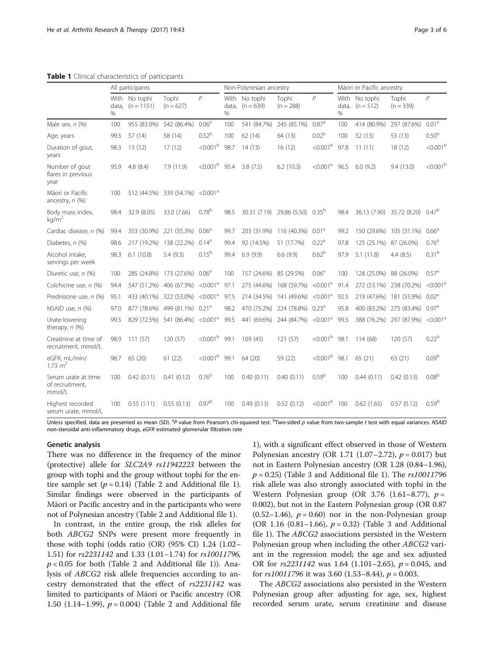|                                                  |            | All participants              |                      |                      | Non-Polynesian ancestry |                              |                      |                      | Mãori or Pacific ancestry |                              |                      |                      |
|--------------------------------------------------|------------|-------------------------------|----------------------|----------------------|-------------------------|------------------------------|----------------------|----------------------|---------------------------|------------------------------|----------------------|----------------------|
|                                                  | data,<br>% | With No tophi<br>$(n = 1151)$ | Tophi<br>$(n = 627)$ | $\overline{P}$       | data,<br>%              | With No tophi<br>$(n = 639)$ | Tophi<br>$(n = 288)$ | $\overline{P}$       | data,<br>$\%$             | With No tophi<br>$(n = 512)$ | Tophi<br>$(n = 339)$ | $\overline{P}$       |
| Male sex, n (%)                                  | 100        | 955 (83.0%)                   | 542 (86.4%)          | 0.06 <sup>a</sup>    | 100                     | 541 (84.7%)                  | 245 (85.1%)          | $0.87$ <sup>a</sup>  | 100                       | 414 (80.9%)                  | 297 (87.6%)          | 0.01 <sup>a</sup>    |
| Age, years                                       | 99.5       | 57 (14)                       | 58 (14)              | $0.52^{b}$           | 100                     | 62(14)                       | 64 (13)              | 0.02 <sup>b</sup>    | 100                       | 52 (13)                      | 53 (13)              | 0.50 <sup>b</sup>    |
| Duration of gout,<br>years                       | 98.3       | 13(12)                        | 17(12)               | < 0.001 <sup>b</sup> | 98.7                    | 14(13)                       | 16(12)               | $<0.001b$            | 97.8                      | 11(11)                       | 18(12)               | < 0.001 <sup>b</sup> |
| Number of gout<br>flares in previous<br>year     | 95.9       | 4.8(8.4)                      | 7.9 (11.9)           | $<0.001b$            | 95.4                    | 3.8(7.5)                     | 6.2(10.3)            | < 0.001 <sup>a</sup> | 96.5                      | 6.0(9.2)                     | 9.4(13.0)            | $<0.001b$            |
| Mãori or Pacific<br>ancestry, n (%)              | 100        | 512 (44.5%)                   | 339 (54.1%)          | < 0.001 <sup>a</sup> |                         |                              |                      |                      |                           |                              |                      |                      |
| Body mass index,<br>ka/m <sup>2</sup>            | 98.4       | 32.9 (8.05)                   | 33.0 (7.66)          | 0.78 <sup>b</sup>    | 98.5                    | 30.31 (7.19)                 | 29.86 (5.50)         | $0.35^{b}$           | 98.4                      | 36.13 (7.90)                 | 35.72 (8.20)         | 0.47 <sup>b</sup>    |
| Cardiac disease, n (%)                           | 99.4       | 353 (30.9%)                   | 221 (35.3%)          | 0.06 <sup>a</sup>    | 99.7                    | 203 (31.9%)                  | 116 (40.3%)          | 0.01 <sup>a</sup>    | 99.2                      | 150 (29.6%)                  | 105 (31.1%)          | 0.66 <sup>a</sup>    |
| Diabetes, n (%)                                  | 98.6       | 217 (19.2%)                   | 138 (22.2%)          | 0.14 <sup>a</sup>    | 99.4                    | 92 (14.5%)                   | 51 (17.7%)           | 0.22 <sup>a</sup>    | 97.8                      | 125 (25.1%)                  | 87 (26.0%)           | 0.76 <sup>a</sup>    |
| Alcohol intake.<br>servings per week             | 98.3       | 6.1(10.8)                     | 5.4(9.3)             | $0.15^{b}$           | 99.4                    | 6.9(9.9)                     | 6.6(9.9)             | 0.62 <sup>b</sup>    | 97.9                      | 5.1(11.8)                    | 4.4(8.5)             | 0.31 <sup>b</sup>    |
| Diuretic use, n (%)                              | 100        | 285 (24.8%)                   | 173 (27.6%)          | 0.06 <sup>a</sup>    | 100                     | 157 (24.6%)                  | 85 (29.5%)           | 0.06 <sup>a</sup>    | 100                       | 128 (25.0%)                  | 88 (26.0%)           | 0.57 <sup>a</sup>    |
| Colchicine use, n (%)                            | 94.4       | 547 (51.2%)                   | 406 (67.3%)          | < 0.001 <sup>a</sup> | 97.1                    | 275 (44.6%)                  | 168 (59.7%)          | < 0.001 <sup>a</sup> | 91.4                      | 272 (53.1%)                  | 238 (70.2%)          | < 0.001 <sup>a</sup> |
| Prednisone use, n (%)                            | 95.1       | 433 (40.1%)                   | 322 (53.0%)          | < 0.001 <sup>a</sup> | 97.5                    | 214 (34.5%)                  | 141 (49.6%)          | < 0.001 <sup>a</sup> | 92.5                      | 219 (47.6%)                  | 181 (55.9%)          | 0.02 <sup>a</sup>    |
| NSAID use, n (%)                                 | 97.0       | 877 (78.6%)                   | 499 (81.1%)          | 0.21 <sup>a</sup>    | 98.2                    | 470 (75.2%)                  | 224 (78.8%)          | $0.23^{a}$           | 95.8                      | 400 (83.2%)                  | 275 (83.4%)          | 0.97 <sup>a</sup>    |
| Urate-lowering<br>therapy, n (%)                 | 99.5       | 829 (72.5%)                   | 541 (86.4%)          | < 0.001 <sup>a</sup> | 99.5                    | 441 (69.6%)                  | 244 (84.7%)          | < 0.001 <sup>a</sup> | 99.5                      | 388 (76.2%)                  | 297 (87.9%)          | < 0.001 <sup>a</sup> |
| Creatinine at time of<br>recruitment, mmol/L     | 98.9       | 111(57)                       | 120 (57)             | $<$ 0.001 $^{\rm b}$ | 99.1                    | 109 (45)                     | 121 (57)             | $<$ 0.001 $^{\rm b}$ | 98.1                      | 114 (68)                     | 120(57)              | 0.22 <sup>b</sup>    |
| eGFR, mL/min/<br>1.73 $m2$                       | 98.7       | 65 (20)                       | 61(22)               | $<0.001b$            | 99.1                    | 64 (20)                      | 59 (22)              | $<0.001b$            | 98.1                      | 65(21)                       | 63 (21)              | 0.09 <sup>b</sup>    |
| Serum urate at time<br>of recruitment,<br>mmol/L | 100        | 0.42(0.11)                    | 0.41(0.12)           | $0.76^{b}$           | 100                     | 0.40(0.11)                   | 0.40(0.11)           | 0.59 <sup>b</sup>    | 100                       | 0.44(0.11)                   | 0.42(0.13)           | 0.08 <sup>b</sup>    |
| Highest recorded                                 | 100        | 0.55(1.11)                    | 0.55(0.13)           | 0.97 <sup>b</sup>    | 100                     | 0.49(0.13)                   | 0.52(0.12)           | $<0.001b$            | 100                       | 0.62(1.65)                   | 0.57(0.12)           | 0.59 <sup>b</sup>    |

<span id="page-2-0"></span>Table 1 Clinical characteristics of participants

Unless specified, data are presented as mean (SD). <sup>a</sup>P value from Pearson's chi-squared test. <sup>b</sup>Two-sided p value from two-sample t test with equal variances. NSAID non-steroidal anti-inflammatory drugs, eGFR estimated glomerular filtration rate

#### Genetic analysis

serum urate, mmol/L

There was no difference in the frequency of the minor (protective) allele for SLC2A9 rs11942223 between the group with tophi and the group without tophi for the entire sample set  $(p = 0.14)$  (Table [2](#page-3-0) and Additional file [1](#page-5-0)). Similar findings were observed in the participants of Māori or Pacific ancestry and in the participants who were not of Polynesian ancestry (Table [2](#page-3-0) and Additional file [1\)](#page-5-0).

In contrast, in the entire group, the risk alleles for both ABCG2 SNPs were present more frequently in those with tophi (odds ratio (OR) (95% CI) 1.24 (1.02– 1.51) for rs2231142 and 1.33 (1.01–1.74) for rs10011796,  $p < 0.05$  for both (Table [2](#page-3-0) and Additional file [1](#page-5-0))). Analysis of ABCG2 risk allele frequencies according to ancestry demonstrated that the effect of rs2231142 was limited to participants of Māori or Pacific ancestry (OR 1.50 (1.14–1.99),  $p = 0.004$ ) (Table [2](#page-3-0) and Additional file

[1\)](#page-5-0), with a significant effect observed in those of Western Polynesian ancestry (OR 1.71 (1.07–2.72),  $p = 0.017$ ) but not in Eastern Polynesian ancestry (OR 1.28 (0.84–1.96),  $p = 0.25$ ) (Table [3](#page-3-0) and Additional file [1](#page-5-0)). The  $rs10011796$ risk allele was also strongly associated with tophi in the Western Polynesian group (OR 3.76 (1.61–8.77),  $p =$ 0.002), but not in the Eastern Polynesian group (OR 0.87  $(0.52-1.46)$ ,  $p = 0.60$ ) nor in the non-Polynesian group (OR 1.16 (0.81–1.66),  $p = 0.32$ ) (Table [3](#page-3-0) and Additional file [1\)](#page-5-0). The ABCG2 associations persisted in the Western Polynesian group when including the other ABCG2 variant in the regression model; the age and sex adjusted OR for  $rs2231142$  was 1.64 (1.101–2.65),  $p = 0.045$ , and for  $rs10011796$  it was 3.60 (1.53–8.44),  $p = 0.003$ .

The ABCG2 associations also persisted in the Western Polynesian group after adjusting for age, sex, highest recorded serum urate, serum creatinine and disease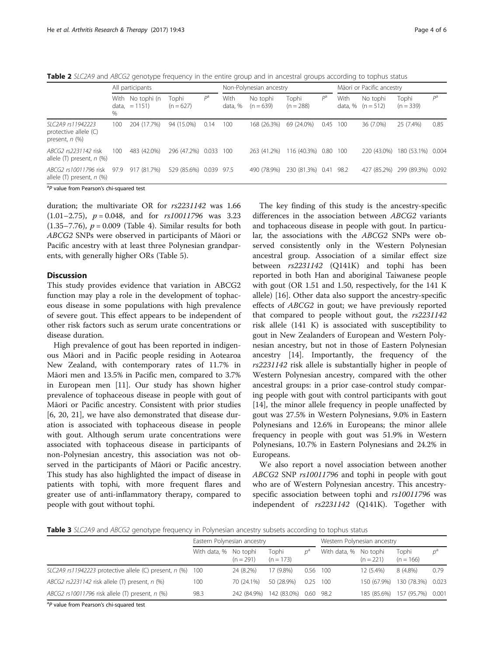<span id="page-3-0"></span>Table 2 SLC2A9 and ABCG2 genotype frequency in the entire group and in ancestral groups according to tophus status

|                                                                   |      | All participants                    |                      |       |                 | Non-Polynesian ancestry |                       |       |                 | Mãori or Pacific ancestry |                      |       |  |
|-------------------------------------------------------------------|------|-------------------------------------|----------------------|-------|-----------------|-------------------------|-----------------------|-------|-----------------|---------------------------|----------------------|-------|--|
|                                                                   | %    | With No tophi (n<br>$data, = 1151)$ | Tophi<br>$(n = 627)$ | $P^a$ | With<br>data, % | No tophi<br>$(n = 639)$ | Tophi<br>$(n = 288)$  | $P^a$ | With<br>data, % | No tophi<br>$(n = 512)$   | Tophi<br>$(n = 339)$ | $P^a$ |  |
| SLC2A9 rs11942223<br>protective allele (C)<br>present, $n$ $(\%)$ | 100  | 204 (17.7%)                         | 94 (15.0%)           | 0.14  | 100             | 168 (26.3%)             | 69 (24.0%)            | 0.45  | - 100           | 36 (7.0%)                 | 25 (7.4%)            | 0.85  |  |
| ABCG2 rs2231142 risk<br>allele $(T)$ present, $n$ $%$             | 100  | 483 (42.0%)                         | 296 (47.2%) 0.033    |       | 100             | 263 (41.2%)             | 116 (40.3%) 0.80 100  |       |                 | 220 (43.0%)               | 180 (53.1%)          | 0.004 |  |
| ABCG2 rs10011796 risk<br>allele $(T)$ present, $n$ $%$            | 97.9 | 917 (81.7%)                         | 529 (85.6%) 0.039    |       | 97.5            | 490 (78.9%)             | 230 (81.3%) 0.41 98.2 |       |                 | 427 (85.2%)               | 299 (89.3%)          | 0.092 |  |
| <sup>a</sup> P value from Pearson's chi-squared test              |      |                                     |                      |       |                 |                         |                       |       |                 |                           |                      |       |  |

duration; the multivariate OR for rs2231142 was 1.66  $(1.01-2.75)$ ,  $p = 0.048$ , and for  $rs10011796$  was 3.23 (1.35–7.76),  $p = 0.009$  (Table [4](#page-4-0)). Similar results for both ABCG2 SNPs were observed in participants of Māori or Pacific ancestry with at least three Polynesian grandparents, with generally higher ORs (Table [5\)](#page-4-0).

# **Discussion**

This study provides evidence that variation in ABCG2 function may play a role in the development of tophaceous disease in some populations with high prevalence of severe gout. This effect appears to be independent of other risk factors such as serum urate concentrations or disease duration.

High prevalence of gout has been reported in indigenous Māori and in Pacific people residing in Aotearoa New Zealand, with contemporary rates of 11.7% in Māori men and 13.5% in Pacific men, compared to 3.7% in European men [\[11\]](#page-5-0). Our study has shown higher prevalence of tophaceous disease in people with gout of Māori or Pacific ancestry. Consistent with prior studies [[6, 20](#page-5-0), [21\]](#page-5-0), we have also demonstrated that disease duration is associated with tophaceous disease in people with gout. Although serum urate concentrations were associated with tophaceous disease in participants of non-Polynesian ancestry, this association was not observed in the participants of Māori or Pacific ancestry. This study has also highlighted the impact of disease in patients with tophi, with more frequent flares and greater use of anti-inflammatory therapy, compared to people with gout without tophi.

The key finding of this study is the ancestry-specific differences in the association between ABCG2 variants and tophaceous disease in people with gout. In particular, the associations with the ABCG2 SNPs were observed consistently only in the Western Polynesian ancestral group. Association of a similar effect size between rs2231142 (Q141K) and tophi has been reported in both Han and aboriginal Taiwanese people with gout (OR 1.51 and 1.50, respectively, for the 141 K allele) [\[16\]](#page-5-0). Other data also support the ancestry-specific effects of ABCG2 in gout; we have previously reported that compared to people without gout, the rs2231142 risk allele (141 K) is associated with susceptibility to gout in New Zealanders of European and Western Polynesian ancestry, but not in those of Eastern Polynesian ancestry [\[14\]](#page-5-0). Importantly, the frequency of the rs2231142 risk allele is substantially higher in people of Western Polynesian ancestry, compared with the other ancestral groups: in a prior case-control study comparing people with gout with control participants with gout [[14\]](#page-5-0), the minor allele frequency in people unaffected by gout was 27.5% in Western Polynesians, 9.0% in Eastern Polynesians and 12.6% in Europeans; the minor allele frequency in people with gout was 51.9% in Western Polynesians, 10.7% in Eastern Polynesians and 24.2% in Europeans.

We also report a novel association between another ABCG2 SNP rs10011796 and tophi in people with gout who are of Western Polynesian ancestry. This ancestryspecific association between tophi and  $rs10011796$  was independent of rs2231142 (Q141K). Together with

Table 3 SLC2A9 and ABCG2 genotype frequency in Polynesian ancestry subsets according to tophus status

|                                                              | Eastern Polynesian ancestry |             |                       | Western Polynesian ancestry |                       |             |                               |       |
|--------------------------------------------------------------|-----------------------------|-------------|-----------------------|-----------------------------|-----------------------|-------------|-------------------------------|-------|
|                                                              | With data, % No tophi       | $(n = 291)$ | Tophi<br>$(n = 173)$  |                             | With data, % No tophi | $(n = 221)$ | Tophi<br>$(n = 166)$          | $D^d$ |
| SLC2A9 rs11942223 protective allele (C) present, $n$ (%) 100 |                             | 24 (8.2%)   | 17 (9.8%)             | 0.56                        | - 100                 | $12(5.4\%)$ | 8 (4.8%)                      | 0.79  |
| ABCG2 $rs2231142$ risk allele (T) present, $n$ (%)           | 100                         | 70 (24.1%)  | 50 (28.9%)            | 0.25                        | 100                   |             | 150 (67.9%) 130 (78.3%) 0.023 |       |
| ABCG2 rs10011796 risk allele (T) present, n (%)              | 98.3                        | 242 (84.9%) | 142 (83.0%) 0.60 98.2 |                             |                       |             | 185 (85.6%) 157 (95.7%) 0.001 |       |

<sup>a</sup>P value from Pearson's chi-squared test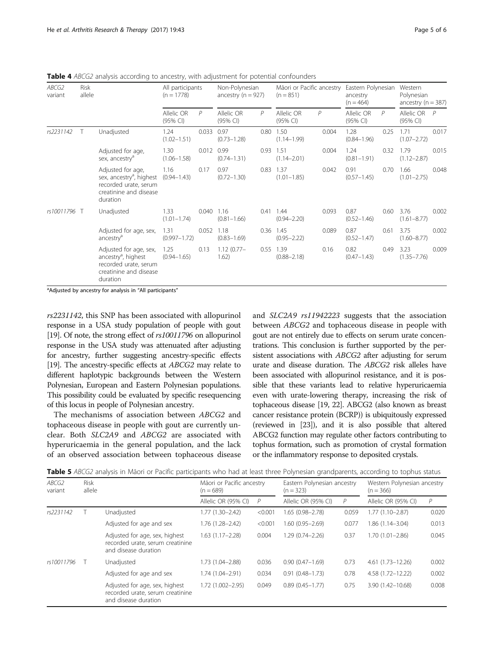| ABCG2<br>variant | Risk<br>allele |                                                                                                                          | All participants<br>$(n = 1778)$ |       | Non-Polynesian<br>ancestry $(n = 927)$ |      | Māori or Pacific ancestry<br>$(n = 851)$ |       | Eastern Polynesian<br>ancestry<br>$(n = 464)$ |                | Western<br>Polynesian<br>ancestry ( $n = 387$ ) |       |
|------------------|----------------|--------------------------------------------------------------------------------------------------------------------------|----------------------------------|-------|----------------------------------------|------|------------------------------------------|-------|-----------------------------------------------|----------------|-------------------------------------------------|-------|
|                  |                |                                                                                                                          | Allelic OR<br>(95% CI)           | P     | Allelic OR<br>(95% CI)                 | P    | Allelic OR<br>(95% CI)                   | P     | Allelic OR<br>(95% CI)                        | $\overline{P}$ | Allelic OR<br>$(95% \text{ Cl})$                | P     |
| rs2231142        | $\top$         | Unadjusted                                                                                                               | 1.24<br>$(1.02 - 1.51)$          | 0.033 | 0.97<br>$(0.73 - 1.28)$                | 0.80 | 1.50<br>$(1.14 - 1.99)$                  | 0.004 | 1.28<br>$(0.84 - 1.96)$                       | 0.25           | 1.71<br>$(1.07 - 2.72)$                         | 0.017 |
|                  |                | Adjusted for age,<br>sex, ancestry <sup>a</sup>                                                                          | 1.30<br>$(1.06 - 1.58)$          | 0.012 | 0.99<br>$(0.74 - 1.31)$                | 0.93 | 1.51<br>$(1.14 - 2.01)$                  | 0.004 | 1.24<br>$(0.81 - 1.91)$                       | 0.32           | 1.79<br>$(1.12 - 2.87)$                         | 0.015 |
|                  |                | Adjusted for age,<br>sex, ancestry <sup>a</sup> , highest<br>recorded urate, serum<br>creatinine and disease<br>duration | 1.16<br>$(0.94 - 1.43)$          | 0.17  | 0.97<br>$(0.72 - 1.30)$                | 0.83 | 1.37<br>$(1.01 - 1.85)$                  | 0.042 | 0.91<br>$(0.57 - 1.45)$                       | 0.70           | 1.66<br>$(1.01 - 2.75)$                         | 0.048 |
| rs10011796 T     |                | Unadjusted                                                                                                               | 1.33<br>$(1.01 - 1.74)$          | 0.040 | 1.16<br>$(0.81 - 1.66)$                | 0.41 | 1.44<br>$(0.94 - 2.20)$                  | 0.093 | 0.87<br>$(0.52 - 1.46)$                       | 0.60           | 3.76<br>$(1.61 - 8.77)$                         | 0.002 |
|                  |                | Adjusted for age, sex,<br>ancestry <sup>a</sup>                                                                          | 1.31<br>$(0.997 - 1.72)$         | 0.052 | 1.18<br>$(0.83 - 1.69)$                |      | 0.36 1.45<br>$(0.95 - 2.22)$             | 0.089 | 0.87<br>$(0.52 - 1.47)$                       | 0.61           | 3.75<br>$(1.60 - 8.77)$                         | 0.002 |
|                  |                | Adjusted for age, sex,<br>ancestry <sup>a</sup> , highest<br>recorded urate, serum<br>creatinine and disease<br>duration | 1.25<br>$(0.94 - 1.65)$          | 0.13  | $1.12(0.77 -$<br>1.62)                 | 0.55 | 1.39<br>$(0.88 - 2.18)$                  | 0.16  | 0.82<br>$(0.47 - 1.43)$                       | 0.49           | 3.23<br>$(1.35 - 7.76)$                         | 0.009 |

<span id="page-4-0"></span>Table 4 ABCG2 analysis according to ancestry, with adjustment for potential confounders

<sup>a</sup>Adjusted by ancestry for analysis in "All participants"

rs2231142, this SNP has been associated with allopurinol response in a USA study population of people with gout [[19](#page-5-0)]. Of note, the strong effect of  $rs10011796$  on allopurinol response in the USA study was attenuated after adjusting for ancestry, further suggesting ancestry-specific effects [[19](#page-5-0)]. The ancestry-specific effects at *ABCG2* may relate to different haplotypic backgrounds between the Western Polynesian, European and Eastern Polynesian populations. This possibility could be evaluated by specific resequencing of this locus in people of Polynesian ancestry.

The mechanisms of association between ABCG2 and tophaceous disease in people with gout are currently unclear. Both SLC2A9 and ABCG2 are associated with hyperuricaemia in the general population, and the lack of an observed association between tophaceous disease and SLC2A9 rs11942223 suggests that the association between ABCG2 and tophaceous disease in people with gout are not entirely due to effects on serum urate concentrations. This conclusion is further supported by the persistent associations with ABCG2 after adjusting for serum urate and disease duration. The ABCG2 risk alleles have been associated with allopurinol resistance, and it is possible that these variants lead to relative hyperuricaemia even with urate-lowering therapy, increasing the risk of tophaceous disease [\[19](#page-5-0), [22](#page-5-0)]. ABCG2 (also known as breast cancer resistance protein (BCRP)) is ubiquitously expressed (reviewed in [\[23](#page-5-0)]), and it is also possible that altered ABCG2 function may regulate other factors contributing to tophus formation, such as promotion of crystal formation or the inflammatory response to deposited crystals.

|  | Table 5 ABCG2 analysis in Māori or Pacific participants who had at least three Polynesian grandparents, according to tophus status |
|--|------------------------------------------------------------------------------------------------------------------------------------|
|  |                                                                                                                                    |

| ABCG2<br>variant | <b>Risk</b><br>allele |                                                                                            | Māori or Pacific ancestry<br>$(n = 689)$ |         | Eastern Polynesian ancestry<br>$(n = 323)$ |       | Western Polynesian ancestry<br>$(n = 366)$ |                |  |
|------------------|-----------------------|--------------------------------------------------------------------------------------------|------------------------------------------|---------|--------------------------------------------|-------|--------------------------------------------|----------------|--|
|                  |                       |                                                                                            | Allelic OR (95% CI)                      | P       | Allelic OR (95% CI)                        | P     | Allelic OR (95% CI)                        | $\overline{P}$ |  |
| rs2231142        |                       | Unadjusted                                                                                 | 1.77 (1.30-2.42)                         | < 0.001 | 1.65 (0.98-2.78)                           | 0.059 | $1.77(1.10-2.87)$                          | 0.020          |  |
|                  |                       | Adjusted for age and sex                                                                   | 1.76 (1.28-2.42)                         | < 0.001 | 1.60 (0.95-2.69)                           | 0.077 | 1.86 (1.14–3.04)                           | 0.013          |  |
|                  |                       | Adjusted for age, sex, highest<br>recorded urate, serum creatinine<br>and disease duration | $1.63(1.17 - 2.28)$                      | 0.004   | $1.29(0.74 - 2.26)$                        | 0.37  | $1.70(1.01 - 2.86)$                        | 0.045          |  |
| rs10011796       |                       | Unadjusted                                                                                 | 1.73 (1.04-2.88)                         | 0.036   | $0.90(0.47 - 1.69)$                        | 0.73  | $4.61(1.73 - 12.26)$                       | 0.002          |  |
|                  |                       | Adjusted for age and sex                                                                   | 1.74 (1.04-2.91)                         | 0.034   | $0.91(0.48 - 1.73)$                        | 0.78  | 4.58 (1.72-12.22)                          | 0.002          |  |
|                  |                       | Adjusted for age, sex, highest<br>recorded urate, serum creatinine<br>and disease duration | 1.72 (1.002-2.95)                        | 0.049   | $0.89(0.45 - 1.77)$                        | 0.75  | 3.90 (1.42-10.68)                          | 0.008          |  |